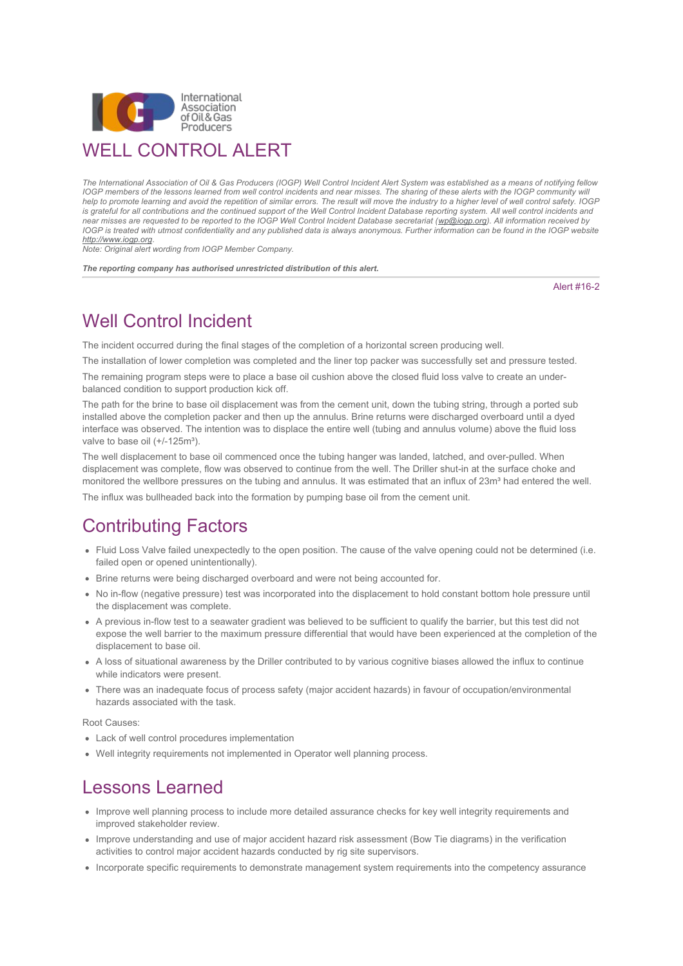

*The International Association of Oil & Gas Producers (IOGP) Well Control Incident Alert System was established as a means of notifying fellow IOGP members of the lessons learned from well control incidents and near misses. The sharing of these alerts with the IOGP community will help to promote learning and avoid the repetition of similar errors. The result will move the industry to a higher level of well control safety. IOGP is grateful for all contributions and the continued support of the Well Control Incident Database reporting system. All well control incidents and near misses are requested to be reported to the IOGP Well Control Incident Database secretariat ([wp@iogp.org](mailto:wp@iogp.org)). All information received by IOGP is treated with utmost confidentiality and any published data is always anonymous. Further information can be found in the IOGP website [http://www.iogp.org.](http://www.iogp.org/) Note: Original alert wording from IOGP Member Company.*

*The reporting company has authorised unrestricted distribution of this alert.*

Alert #16-2

## Well Control Incident

The incident occurred during the final stages of the completion of a horizontal screen producing well.

The installation of lower completion was completed and the liner top packer was successfully set and pressure tested.

The remaining program steps were to place a base oil cushion above the closed fluid loss valve to create an underbalanced condition to support production kick off.

The path for the brine to base oil displacement was from the cement unit, down the tubing string, through a ported sub installed above the completion packer and then up the annulus. Brine returns were discharged overboard until a dyed interface was observed. The intention was to displace the entire well (tubing and annulus volume) above the fluid loss valve to base oil (+/-125m<sup>3</sup>).

The well displacement to base oil commenced once the tubing hanger was landed, latched, and over-pulled. When displacement was complete, flow was observed to continue from the well. The Driller shut-in at the surface choke and monitored the wellbore pressures on the tubing and annulus. It was estimated that an influx of 23m<sup>3</sup> had entered the well. The influx was bullheaded back into the formation by pumping base oil from the cement unit.

## Contributing Factors

- Fluid Loss Valve failed unexpectedly to the open position. The cause of the valve opening could not be determined (i.e. failed open or opened unintentionally).
- Brine returns were being discharged overboard and were not being accounted for.
- No in-flow (negative pressure) test was incorporated into the displacement to hold constant bottom hole pressure until the displacement was complete.
- A previous in-flow test to a seawater gradient was believed to be sufficient to qualify the barrier, but this test did not expose the well barrier to the maximum pressure differential that would have been experienced at the completion of the displacement to base oil.
- A loss of situational awareness by the Driller contributed to by various cognitive biases allowed the influx to continue while indicators were present.
- There was an inadequate focus of process safety (major accident hazards) in favour of occupation/environmental hazards associated with the task.

Root Causes:

- Lack of well control procedures implementation
- Well integrity requirements not implemented in Operator well planning process.

### Lessons Learned

- Improve well planning process to include more detailed assurance checks for key well integrity requirements and improved stakeholder review.
- Improve understanding and use of major accident hazard risk assessment (Bow Tie diagrams) in the verification activities to control major accident hazards conducted by rig site supervisors.
- Incorporate specific requirements to demonstrate management system requirements into the competency assurance